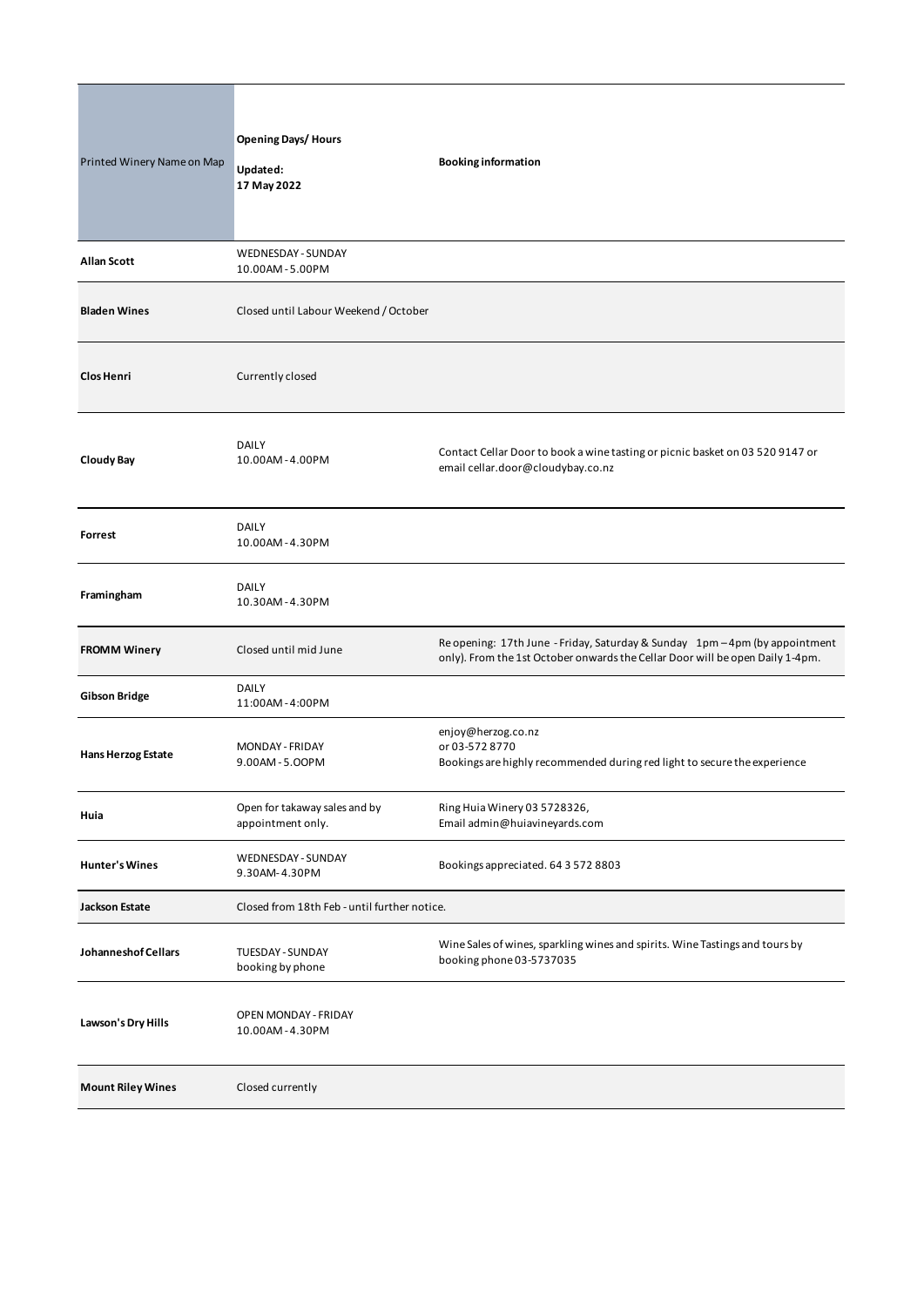| Printed Winery Name on Map | <b>Opening Days/ Hours</b><br>Updated:<br>17 May 2022 | <b>Booking information</b>                                                                                                                                   |
|----------------------------|-------------------------------------------------------|--------------------------------------------------------------------------------------------------------------------------------------------------------------|
| Allan Scott                | WEDNESDAY - SUNDAY<br>10.00AM-5.00PM                  |                                                                                                                                                              |
| <b>Bladen Wines</b>        | Closed until Labour Weekend / October                 |                                                                                                                                                              |
| <b>Clos Henri</b>          | Currently closed                                      |                                                                                                                                                              |
| <b>Cloudy Bay</b>          | <b>DAILY</b><br>10.00AM-4.00PM                        | Contact Cellar Door to book a wine tasting or picnic basket on 03 520 9147 or<br>email cellar.door@cloudybay.co.nz                                           |
| Forrest                    | <b>DAILY</b><br>10.00AM-4.30PM                        |                                                                                                                                                              |
| Framingham                 | <b>DAILY</b><br>10.30AM-4.30PM                        |                                                                                                                                                              |
| <b>FROMM Winery</b>        | Closed until mid June                                 | Re opening: 17th June - Friday, Saturday & Sunday 1pm - 4pm (by appointment<br>only). From the 1st October onwards the Cellar Door will be open Daily 1-4pm. |
| <b>Gibson Bridge</b>       | <b>DAILY</b><br>11:00AM-4:00PM                        |                                                                                                                                                              |
| <b>Hans Herzog Estate</b>  | MONDAY - FRIDAY<br>9.00AM-5.00PM                      | enjoy@herzog.co.nz<br>or 03-572 8770<br>Bookings are highly recommended during red light to secure the experience                                            |
| Huia                       | Open for takaway sales and by<br>appointment only.    | Ring Huia Winery 03 5728326,<br>Email admin@huiavineyards.com                                                                                                |
| <b>Hunter's Wines</b>      | WEDNESDAY - SUNDAY<br>9.30AM-4.30PM                   | Bookings appreciated. 64 3 572 8803                                                                                                                          |
| <b>Jackson Estate</b>      | Closed from 18th Feb - until further notice.          |                                                                                                                                                              |
| Johanneshof Cellars        | TUESDAY - SUNDAY<br>booking by phone                  | Wine Sales of wines, sparkling wines and spirits. Wine Tastings and tours by<br>booking phone 03-5737035                                                     |
| Lawson's Dry Hills         | OPEN MONDAY - FRIDAY<br>10.00AM-4.30PM                |                                                                                                                                                              |
| <b>Mount Riley Wines</b>   | Closed currently                                      |                                                                                                                                                              |